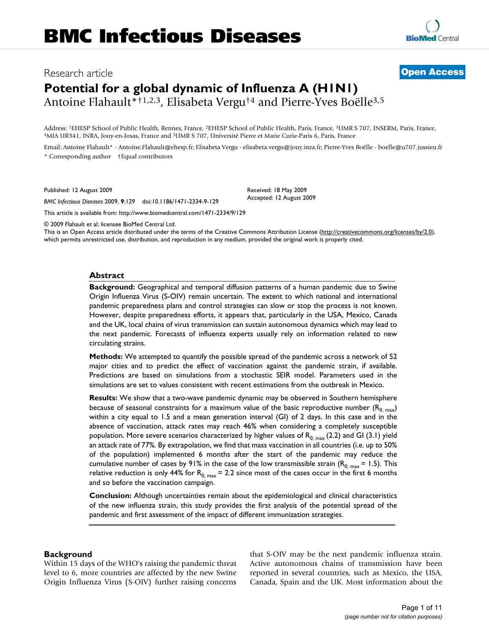# Research article **[Open Access](http://www.biomedcentral.com/info/about/charter/)**

# **Potential for a global dynamic of Influenza A (H1N1)**

Antoine Flahault\*†1,2,3, Elisabeta Vergu†4 and Pierre-Yves Boëlle3,5

Address: <sup>1</sup>EHESP School of Public Health, Rennes, France, <sup>2</sup>EHESP School of Public Health, Paris, France, <sup>3</sup>UMR S 707, INSERM, Paris, France, <sup>4</sup>MIA UR341, INRA, Jouy-en-Josas, France and <sup>5</sup>UMR S 707, Instement of the

Email: Antoine Flahault\* - Antoine.Flahault@ehesp.fr; Elisabeta Vergu - elisabeta.vergu@jouy.inra.fr; Pierre-Yves Boëlle - boelle@u707.jussieu.fr \* Corresponding author †Equal contributors

Published: 12 August 2009

*BMC Infectious Diseases* 2009, **9**:129 doi:10.1186/1471-2334-9-129

[This article is available from: http://www.biomedcentral.com/1471-2334/9/129](http://www.biomedcentral.com/1471-2334/9/129)

© 2009 Flahault et al; licensee BioMed Central Ltd.

This is an Open Access article distributed under the terms of the Creative Commons Attribution License [\(http://creativecommons.org/licenses/by/2.0\)](http://creativecommons.org/licenses/by/2.0), which permits unrestricted use, distribution, and reproduction in any medium, provided the original work is properly cited.

#### **Abstract**

**Background:** Geographical and temporal diffusion patterns of a human pandemic due to Swine Origin Influenza Virus (S-OIV) remain uncertain. The extent to which national and international pandemic preparedness plans and control strategies can slow or stop the process is not known. However, despite preparedness efforts, it appears that, particularly in the USA, Mexico, Canada and the UK, local chains of virus transmission can sustain autonomous dynamics which may lead to the next pandemic. Forecasts of influenza experts usually rely on information related to new circulating strains.

**Methods:** We attempted to quantify the possible spread of the pandemic across a network of 52 major cities and to predict the effect of vaccination against the pandemic strain, if available. Predictions are based on simulations from a stochastic SEIR model. Parameters used in the simulations are set to values consistent with recent estimations from the outbreak in Mexico.

**Results:** We show that a two-wave pandemic dynamic may be observed in Southern hemisphere because of seasonal constraints for a maximum value of the basic reproductive number ( $R_{0, \text{max}}$ ) within a city equal to 1.5 and a mean generation interval (GI) of 2 days. In this case and in the absence of vaccination, attack rates may reach 46% when considering a completely susceptible population. More severe scenarios characterized by higher values of  $R_{0, max}$  (2.2) and GI (3.1) yield an attack rate of 77%. By extrapolation, we find that mass vaccination in all countries (i.e. up to 50% of the population) implemented 6 months after the start of the pandemic may reduce the cumulative number of cases by 91% in the case of the low transmissible strain ( $R_{0, \text{max}} = 1.5$ ). This relative reduction is only 44% for  $R_{0, \text{max}} = 2.2$  since most of the cases occur in the first 6 months and so before the vaccination campaign.

**Conclusion:** Although uncertainties remain about the epidemiological and clinical characteristics of the new influenza strain, this study provides the first analysis of the potential spread of the pandemic and first assessment of the impact of different immunization strategies.

#### **Background**

Within 15 days of the WHO's raising the pandemic threat level to 6, more countries are affected by the new Swine Origin Influenza Virus (S-OIV) further raising concerns that S-OIV may be the next pandemic influenza strain. Active autonomous chains of transmission have been reported in several countries, such as Mexico, the USA, Canada, Spain and the UK. Most information about the



Received: 18 May 2009 Accepted: 12 August 2009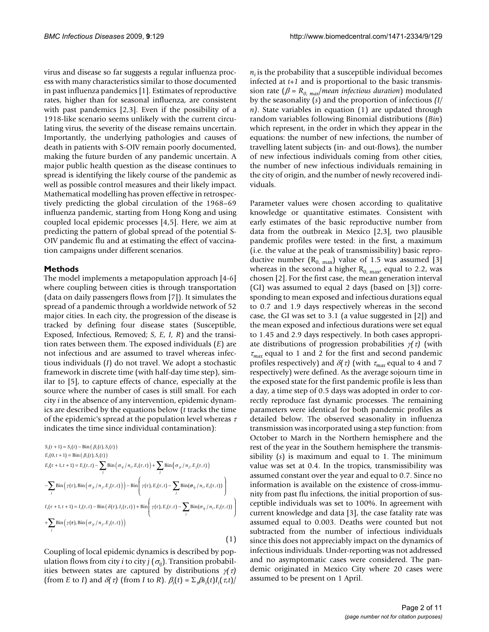virus and disease so far suggests a regular influenza process with many characteristics similar to those documented in past influenza pandemics [1]. Estimates of reproductive rates, higher than for seasonal influenza, are consistent with past pandemics [2,3]. Even if the possibility of a 1918-like scenario seems unlikely with the current circulating virus, the severity of the disease remains uncertain. Importantly, the underlying pathologies and causes of death in patients with S-OIV remain poorly documented, making the future burden of any pandemic uncertain. A major public health question as the disease continues to spread is identifying the likely course of the pandemic as well as possible control measures and their likely impact. Mathematical modelling has proven effective in retrospectively predicting the global circulation of the 1968–69 influenza pandemic, starting from Hong Kong and using coupled local epidemic processes [4,5]. Here, we aim at predicting the pattern of global spread of the potential S-OIV pandemic flu and at estimating the effect of vaccination campaigns under different scenarios.

#### **Methods**

The model implements a metapopulation approach [4-6] where coupling between cities is through transportation (data on daily passengers flows from [7]). It simulates the spread of a pandemic through a worldwide network of 52 major cities. In each city, the progression of the disease is tracked by defining four disease states (Susceptible, Exposed, Infectious, Removed; *S, E, I, R*) and the transition rates between them. The exposed individuals (*E*) are not infectious and are assumed to travel whereas infectious individuals (*I*) do not travel. We adopt a stochastic framework in discrete time (with half-day time step), similar to [5], to capture effects of chance, especially at the source where the number of cases is still small. For each city *i* in the absence of any intervention, epidemic dynamics are described by the equations below (*t* tracks the time of the epidemic's spread at the population level whereas  $\tau$ indicates the time since individual contamination):

$$
S_i(t+1) = S_i(t) - Bin(\beta_i(t), S_i(t))
$$
  
\n
$$
E_i(0, t+1) = Bin(\beta_i(t), S_i(t))
$$
  
\n
$$
E_i(\tau+1, t+1) = E_i(\tau, t) - \sum_j Bin(\sigma_{ij}/n_i, E_i(\tau, t)) + \sum_j Bin(\sigma_{ji}/n_j, E_j(\tau, t))
$$
  
\n
$$
- \sum_j Bin(\gamma(\tau), Bin(\sigma_{ji}/n_j, E_j(\tau, t))) - Bin(\gamma(\tau), E_i(\tau, t) - \sum_j Bin(\sigma_{ij}/n_i, E_i(\tau, t)) )
$$
  
\n
$$
I_i(\tau+1, t+1) = I_i(\tau, t) - Bin(\delta(\tau), I_i(\tau, t)) + Bin(\gamma(\tau), E_i(\tau, t) - \sum_j Bin(\sigma_{ij}/n_i, E_i(\tau, t)) )
$$
  
\n
$$
+ \sum_j Bin(\gamma(\tau), Bin(\sigma_{ji}/n_j, E_j(\tau, t)))
$$
  
\n(1)

Coupling of local epidemic dynamics is described by population flows from city *i* to city *j* ( $\sigma_{ii}$ ). Transition probabilities between states are captured by distributions γ*(*τ*)* (from *E* to *I*) and  $\delta(\tau)$  (from *I* to *R*).  $\beta_i(t) = \sum_i \beta s_i(t) I_i(\tau, t)$ /  $n_i$  is the probability that a susceptible individual becomes infected at *t+1* and is proportional to the basic transmission rate ( $\beta = R_{0. max}$ /*mean infectious duration*) modulated by the seasonality (*s*) and the proportion of infectious *(I/ n)*. State variables in equation (1) are updated through random variables following Binomial distributions (*Bin*) which represent, in the order in which they appear in the equations: the number of new infections, the number of travelling latent subjects (in- and out-flows), the number of new infectious individuals coming from other cities, the number of new infectious individuals remaining in the city of origin, and the number of newly recovered individuals.

Parameter values were chosen according to qualitative knowledge or quantitative estimates. Consistent with early estimates of the basic reproductive number from data from the outbreak in Mexico [2,3], two plausible pandemic profiles were tested: in the first, a maximum (i.e. the value at the peak of transmissibility) basic reproductive number  $(R_{0, \text{max}})$  value of 1.5 was assumed [3] whereas in the second a higher  $R_{0, \text{max}}$  equal to 2.2, was chosen [2]. For the first case, the mean generation interval (GI) was assumed to equal 2 days (based on [3]) corresponding to mean exposed and infectious durations equal to 0.7 and 1.9 days respectively whereas in the second case, the GI was set to 3.1 (a value suggested in [2]) and the mean exposed and infectious durations were set equal to 1.45 and 2.9 days respectively. In both cases appropriate distributions of progression probabilities γ*(*τ*)* (with <sup>τ</sup>*max* equal to 1 and 2 for the first and second pandemic profiles respectively) and δ*(*τ*)* (with <sup>τ</sup>*max* equal to 4 and 7 respectively) were defined. As the average sojourn time in the exposed state for the first pandemic profile is less than a day, a time step of 0.5 days was adopted in order to correctly reproduce fast dynamic processes. The remaining parameters were identical for both pandemic profiles as detailed below. The observed seasonality in influenza transmission was incorporated using a step function: from October to March in the Northern hemisphere and the rest of the year in the Southern hemisphere the transmissibility (*s*) is maximum and equal to 1. The minimum value was set at 0.4. In the tropics, transmissibility was assumed constant over the year and equal to 0.7. Since no information is available on the existence of cross-immunity from past flu infections, the initial proportion of susceptible individuals was set to 100%. In agreement with current knowledge and data [3], the case fatality rate was assumed equal to 0.003. Deaths were counted but not subtracted from the number of infectious individuals since this does not appreciably impact on the dynamics of infectious individuals. Under-reporting was not addressed and no asymptomatic cases were considered. The pandemic originated in Mexico City where 20 cases were assumed to be present on 1 April.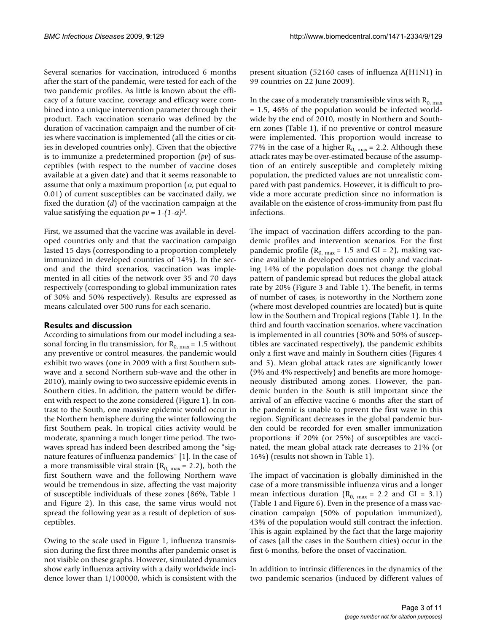Several scenarios for vaccination, introduced 6 months after the start of the pandemic, were tested for each of the two pandemic profiles. As little is known about the efficacy of a future vaccine, coverage and efficacy were combined into a unique intervention parameter through their product. Each vaccination scenario was defined by the duration of vaccination campaign and the number of cities where vaccination is implemented (all the cities or cities in developed countries only). Given that the objective is to immunize a predetermined proportion (*pv*) of susceptibles (with respect to the number of vaccine doses available at a given date) and that it seems reasonable to assume that only a maximum proportion ( $\alpha$ , put equal to 0.01) of current susceptibles can be vaccinated daily, we fixed the duration (*d*) of the vaccination campaign at the value satisfying the equation  $pv = 1-(1-\alpha)d$ .

First, we assumed that the vaccine was available in developed countries only and that the vaccination campaign lasted 15 days (corresponding to a proportion completely immunized in developed countries of 14%). In the second and the third scenarios, vaccination was implemented in all cities of the network over 35 and 70 days respectively (corresponding to global immunization rates of 30% and 50% respectively). Results are expressed as means calculated over 500 runs for each scenario.

### **Results and discussion**

According to simulations from our model including a seasonal forcing in flu transmission, for  $R_{0, max} = 1.5$  without any preventive or control measures, the pandemic would exhibit two waves (one in 2009 with a first Southern subwave and a second Northern sub-wave and the other in 2010), mainly owing to two successive epidemic events in Southern cities. In addition, the pattern would be different with respect to the zone considered (Figure 1). In contrast to the South, one massive epidemic would occur in the Northern hemisphere during the winter following the first Southern peak. In tropical cities activity would be moderate, spanning a much longer time period. The twowaves spread has indeed been described among the "signature features of influenza pandemics" [1]. In the case of a more transmissible viral strain ( $R_{0, \text{max}} = 2.2$ ), both the first Southern wave and the following Northern wave would be tremendous in size, affecting the vast majority of susceptible individuals of these zones (86%, Table 1 and Figure 2). In this case, the same virus would not spread the following year as a result of depletion of susceptibles.

Owing to the scale used in Figure 1, influenza transmission during the first three months after pandemic onset is not visible on these graphs. However, simulated dynamics show early influenza activity with a daily worldwide incidence lower than 1/100000, which is consistent with the present situation (52160 cases of influenza A(H1N1) in 99 countries on 22 June 2009).

In the case of a moderately transmissible virus with  $R_{0, max}$ = 1.5, 46% of the population would be infected worldwide by the end of 2010, mostly in Northern and Southern zones (Table 1), if no preventive or control measure were implemented. This proportion would increase to 77% in the case of a higher  $R_{0. max} = 2.2$ . Although these attack rates may be over-estimated because of the assumption of an entirely susceptible and completely mixing population, the predicted values are not unrealistic compared with past pandemics. However, it is difficult to provide a more accurate prediction since no information is available on the existence of cross-immunity from past flu infections.

The impact of vaccination differs according to the pandemic profiles and intervention scenarios. For the first pandemic profile ( $R_{0, \text{max}} = 1.5$  and GI = 2), making vaccine available in developed countries only and vaccinating 14% of the population does not change the global pattern of pandemic spread but reduces the global attack rate by 20% (Figure 3 and Table 1). The benefit, in terms of number of cases, is noteworthy in the Northern zone (where most developed countries are located) but is quite low in the Southern and Tropical regions (Table 1). In the third and fourth vaccination scenarios, where vaccination is implemented in all countries (30% and 50% of susceptibles are vaccinated respectively), the pandemic exhibits only a first wave and mainly in Southern cities (Figures 4 and 5). Mean global attack rates are significantly lower (9% and 4% respectively) and benefits are more homogeneously distributed among zones. However, the pandemic burden in the South is still important since the arrival of an effective vaccine 6 months after the start of the pandemic is unable to prevent the first wave in this region. Significant decreases in the global pandemic burden could be recorded for even smaller immunization proportions: if 20% (or 25%) of susceptibles are vaccinated, the mean global attack rate decreases to 21% (or 16%) (results not shown in Table 1).

The impact of vaccination is globally diminished in the case of a more transmissible influenza virus and a longer mean infectious duration ( $R_{0, \text{max}} = 2.2$  and GI = 3.1) (Table 1 and Figure 6). Even in the presence of a mass vaccination campaign (50% of population immunized), 43% of the population would still contract the infection. This is again explained by the fact that the large majority of cases (all the cases in the Southern cities) occur in the first 6 months, before the onset of vaccination.

In addition to intrinsic differences in the dynamics of the two pandemic scenarios (induced by different values of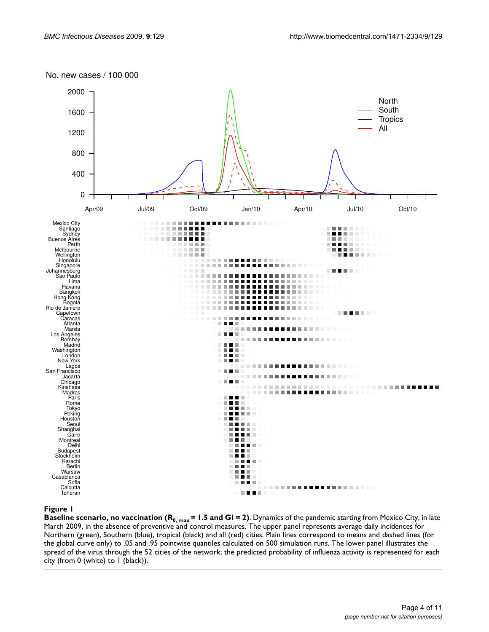



# **Figure 1** Baseline scenario, no vaccination (R0, max = 1.5 and GI = 2)

**Baseline scenario, no vaccination (R<sub>0, max</sub> = 1.5 and GI = 2)**. Dynamics of the pandemic starting from Mexico City, in late March 2009, in the absence of preventive and control measures. The upper panel represents average daily incidences for Northern (green), Southern (blue), tropical (black) and all (red) cities. Plain lines correspond to means and dashed lines (for the global curve only) to .05 and .95 pointwise quantiles calculated on 500 simulation runs. The lower panel illustrates the spread of the virus through the 52 cities of the network; the predicted probability of influenza activity is represented for each city (from 0 (white) to 1 (black)).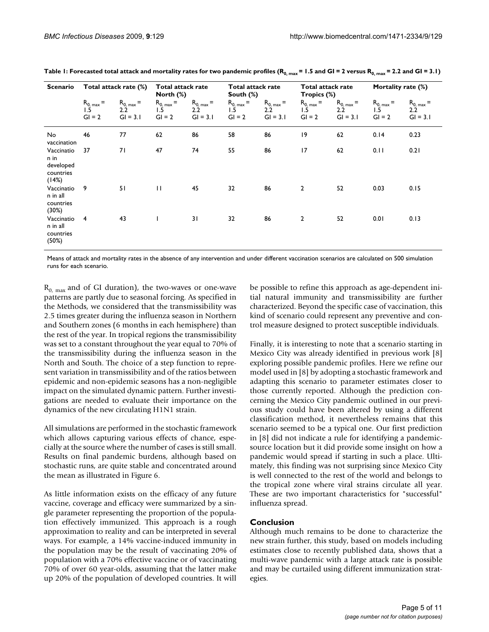| Scenario                                              | Total attack rate (%)             |                                     | <b>Total attack rate</b><br>North (%)          |                                     | <b>Total attack rate</b><br>South $(\%)$ |                                     | Total attack rate<br>Tropics (%)  |                                     | Mortality rate (%)                |                                               |
|-------------------------------------------------------|-----------------------------------|-------------------------------------|------------------------------------------------|-------------------------------------|------------------------------------------|-------------------------------------|-----------------------------------|-------------------------------------|-----------------------------------|-----------------------------------------------|
|                                                       | $R_{0, max} =$<br>1.5<br>$GI = 2$ | $R_{0, max} =$<br>2.2<br>$GI = 3.1$ | $R_{0, max} =$<br>$1.\overline{5}$<br>$GI = 2$ | $R_{0, max} =$<br>2.2<br>$GI = 3.1$ | $R_{0, max} =$<br>1.5<br>$GI = 2$        | $R_{0, max} =$<br>2.2<br>$GI = 3.1$ | $R_{0, max} =$<br>1.5<br>$GI = 2$ | $R_{0, max} =$<br>2.2<br>$GI = 3.1$ | $R_{0, max} =$<br>1.5<br>$GI = 2$ | $R_{0, max} =$<br>$2.2^{\circ}$<br>$GI = 3.1$ |
| No<br>vaccination                                     | 46                                | 77                                  | 62                                             | 86                                  | 58                                       | 86                                  | 19                                | 62                                  | 0.14                              | 0.23                                          |
| Vaccinatio<br>n in<br>developed<br>countries<br>(14%) | 37                                | 71                                  | 47                                             | 74                                  | 55                                       | 86                                  | 17                                | 62                                  | 0.11                              | 0.21                                          |
| Vaccinatio<br>n in all<br>countries<br>(30%)          | 9                                 | 51                                  | $\mathbf{H}$                                   | 45                                  | 32                                       | 86                                  | $\overline{2}$                    | 52                                  | 0.03                              | 0.15                                          |
| Vaccinatio<br>n in all<br>countries<br>(50%)          | 4                                 | 43                                  | T                                              | 31                                  | 32                                       | 86                                  | $\overline{\mathbf{c}}$           | 52                                  | 0.01                              | 0.13                                          |

| Table 1: Forecasted total attack and mortality rates for two pandemic profiles (R <sub>0, max</sub> = 1.5 and GI = 2 versus R <sub>0, max</sub> = 2.2 and GI = 3.1) |  |  |
|---------------------------------------------------------------------------------------------------------------------------------------------------------------------|--|--|
|---------------------------------------------------------------------------------------------------------------------------------------------------------------------|--|--|

Means of attack and mortality rates in the absence of any intervention and under different vaccination scenarios are calculated on 500 simulation runs for each scenario.

 $R_{0, \text{max}}$  and of GI duration), the two-waves or one-wave patterns are partly due to seasonal forcing. As specified in the Methods, we considered that the transmissibility was 2.5 times greater during the influenza season in Northern and Southern zones (6 months in each hemisphere) than the rest of the year. In tropical regions the transmissibility was set to a constant throughout the year equal to 70% of the transmissibility during the influenza season in the North and South. The choice of a step function to represent variation in transmissibility and of the ratios between epidemic and non-epidemic seasons has a non-negligible impact on the simulated dynamic pattern. Further investigations are needed to evaluate their importance on the dynamics of the new circulating H1N1 strain.

All simulations are performed in the stochastic framework which allows capturing various effects of chance, especially at the source where the number of cases is still small. Results on final pandemic burdens, although based on stochastic runs, are quite stable and concentrated around the mean as illustrated in Figure 6.

As little information exists on the efficacy of any future vaccine, coverage and efficacy were summarized by a single parameter representing the proportion of the population effectively immunized. This approach is a rough approximation to reality and can be interpreted in several ways. For example, a 14% vaccine-induced immunity in the population may be the result of vaccinating 20% of population with a 70% effective vaccine or of vaccinating 70% of over 60 year-olds, assuming that the latter make up 20% of the population of developed countries. It will

be possible to refine this approach as age-dependent initial natural immunity and transmissibility are further characterized. Beyond the specific case of vaccination, this kind of scenario could represent any preventive and control measure designed to protect susceptible individuals.

Finally, it is interesting to note that a scenario starting in Mexico City was already identified in previous work [8] exploring possible pandemic profiles. Here we refine our model used in [8] by adopting a stochastic framework and adapting this scenario to parameter estimates closer to those currently reported. Although the prediction concerning the Mexico City pandemic outlined in our previous study could have been altered by using a different classification method, it nevertheless remains that this scenario seemed to be a typical one. Our first prediction in [8] did not indicate a rule for identifying a pandemicsource location but it did provide some insight on how a pandemic would spread if starting in such a place. Ultimately, this finding was not surprising since Mexico City is well connected to the rest of the world and belongs to the tropical zone where viral strains circulate all year. These are two important characteristics for "successful" influenza spread.

# **Conclusion**

Although much remains to be done to characterize the new strain further, this study, based on models including estimates close to recently published data, shows that a multi-wave pandemic with a large attack rate is possible and may be curtailed using different immunization strategies.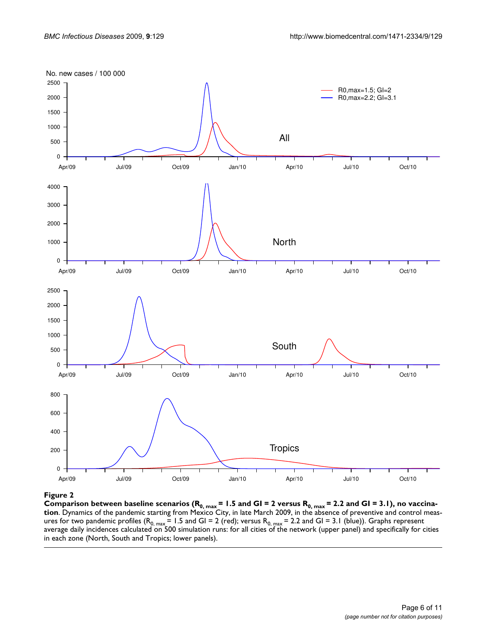

**Figure 2** Comparison baseline scenarios (R0, max = 1.5 and GI = 2.3 and GI = 2.2 and GI = 3.1), no vaccination  $\mathbf{r} = \mathbf{r} \cdot \mathbf{r} = \mathbf{r} \cdot \mathbf{r} = \mathbf{r} \cdot \mathbf{r} = \mathbf{r} \cdot \mathbf{r} = \mathbf{r} \cdot \mathbf{r} = \mathbf{r} \cdot \mathbf{r} = \mathbf{r} \cdot \mathbf{$ Comparison between baseline scenarios (R<sub>0, max</sub> = 1.5 and GI = 2 versus R<sub>0, max</sub> = 2.2 and GI = 3.1), no vaccina**tion**. Dynamics of the pandemic starting from Mexico City, in late March 2009, in the absence of preventive and control measures for two pandemic profiles (R<sub>0, max</sub> = 1.5 and GI = 2 (red); versus R<sub>0, max</sub> = 2.2 and GI = 3.1 (blue)). Graphs represent average daily incidences calculated on 500 simulation runs: for all cities of the network (upper panel) and specifically for cities in each zone (North, South and Tropics; lower panels).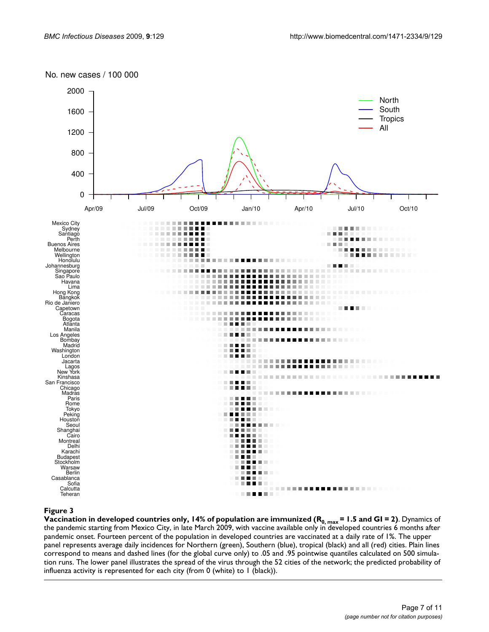## No. new cases / 100 000



**Figure 3** ly, 14% of population in developed countries on  $\mathcal{A}$  and GI  $=$  1.5 and GI  $=$  1.5 and GI  $=$  2, max  $=$  1.5 and GI  $=$  1.5 and GI  $=$  1.5 and GI  $=$  1.5 and GI  $=$  2.5 and GI  $=$  2.5 and GI  $=$  2.5 and GI **Vaccination in developed countries only, 14% of population are immunized (R<sub>0, max</sub> = 1.5 and GI = 2)**. Dynamics of the pandemic starting from Mexico City, in late March 2009, with vaccine available only in developed countries 6 months after pandemic onset. Fourteen percent of the population in developed countries are vaccinated at a daily rate of 1%. The upper panel represents average daily incidences for Northern (green), Southern (blue), tropical (black) and all (red) cities. Plain lines correspond to means and dashed lines (for the global curve only) to .05 and .95 pointwise quantiles calculated on 500 simulation runs. The lower panel illustrates the spread of the virus through the 52 cities of the network; the predicted probability of influenza activity is represented for each city (from 0 (white) to 1 (black)).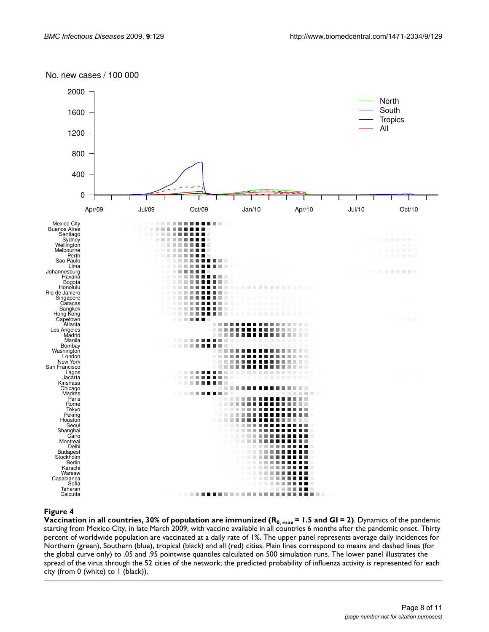### No. new cases / 100 000



**Figure 4** of population in all countries, 30% **Figure 4** of population are immunized (R0, max = 1.5 and GI = 2) **Vaccination in all countries, 30% of population are immunized**  $(R_{0, max} = 1.5$  **and GI = 2)**. Dynamics of the pandemic starting from Mexico City, in late March 2009, with vaccine available in all countries 6 months after the pandemic onset. Thirty percent of worldwide population are vaccinated at a daily rate of 1%. The upper panel represents average daily incidences for Northern (green), Southern (blue), tropical (black) and all (red) cities. Plain lines correspond to means and dashed lines (for the global curve only) to .05 and .95 pointwise quantiles calculated on 500 simulation runs. The lower panel illustrates the spread of the virus through the 52 cities of the network; the predicted probability of influenza activity is represented for each city (from 0 (white) to 1 (black)).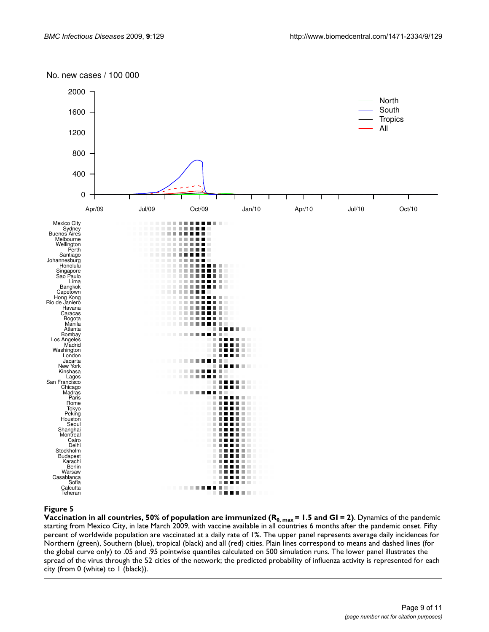### No. new cases / 100 000



# **Figure 5** of population in all countries, 50% **Figure 5** of population are immunized (R0, max = 1.5 and GI  $=$

**Vaccination in all countries, 50% of population are immunized (** $R_{0,\,max}$  **= 1.5 and GI = 2)**. Dynamics of the pandemic starting from Mexico City, in late March 2009, with vaccine available in all countries 6 months after the pandemic onset. Fifty percent of worldwide population are vaccinated at a daily rate of 1%. The upper panel represents average daily incidences for Northern (green), Southern (blue), tropical (black) and all (red) cities. Plain lines correspond to means and dashed lines (for the global curve only) to .05 and .95 pointwise quantiles calculated on 500 simulation runs. The lower panel illustrates the spread of the virus through the 52 cities of the network; the predicted probability of influenza activity is represented for each city (from 0 (white) to 1 (black)).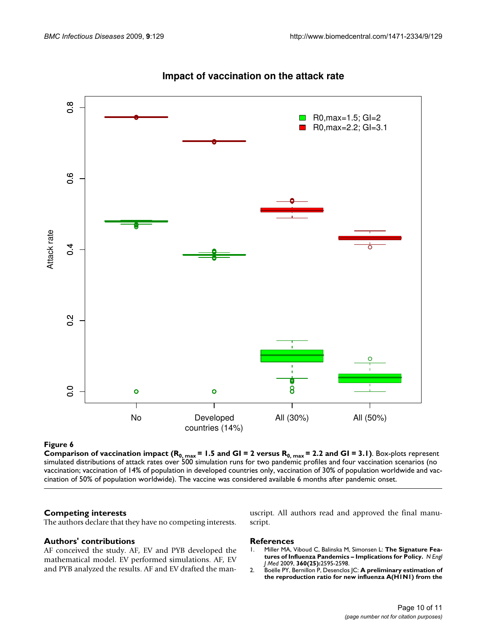

# **Impact of vaccination on the attack rate**

### **Figure 6** Comparison of vaccination in parts  $\mathbf{C} = \mathbf{C} \mathbf{C} \mathbf{C}$

**Comparison of vaccination impact (R<sub>0, max</sub> = 1.5 and GI = 2 versus R<sub>0, max</sub> = 2.2 and GI = 3.1)**. Box-plots represent simulated distributions of attack rates over 500 simulation runs for two pandemic profiles and four vaccination scenarios (no vaccination; vaccination of 14% of population in developed countries only, vaccination of 30% of population worldwide and vac-

#### **Competing interests**

The authors declare that they have no competing interests.

#### **Authors' contributions**

AF conceived the study. AF, EV and PYB developed the mathematical model. EV performed simulations. AF, EV and PYB analyzed the results. AF and EV drafted the manuscript. All authors read and approved the final manuscript.

#### **References**

- 1. Miller MA, Viboud C, Balinska M, Simonsen L: **[The Signature Fea](http://www.ncbi.nlm.nih.gov/entrez/query.fcgi?cmd=Retrieve&db=PubMed&dopt=Abstract&list_uids=19423872)[tures of Influenza Pandemics – Implications for Policy.](http://www.ncbi.nlm.nih.gov/entrez/query.fcgi?cmd=Retrieve&db=PubMed&dopt=Abstract&list_uids=19423872)** *N Engl J Med* 2009, **360(25):**2595-2598.
- 2. Boëlle PY, Bernillon P, Desenclos JC: **[A preliminary estimation of](http://www.ncbi.nlm.nih.gov/entrez/query.fcgi?cmd=Retrieve&db=PubMed&dopt=Abstract&list_uids=19442402) [the reproduction ratio for new influenza A\(H1N1\) from the](http://www.ncbi.nlm.nih.gov/entrez/query.fcgi?cmd=Retrieve&db=PubMed&dopt=Abstract&list_uids=19442402)**